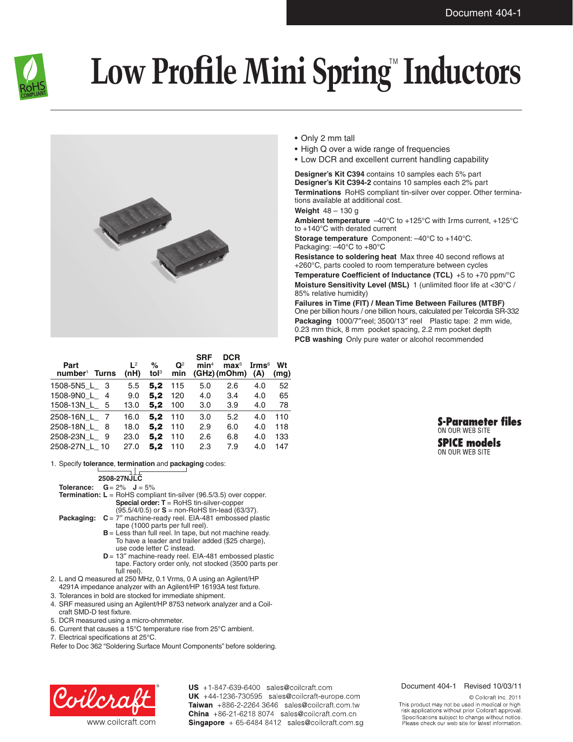

## **Low Profile Mini Spring™ Inductors**



| Part<br>$number1$ Turns | 1 <sup>2</sup><br>(nH) | %<br>tol <sup>3</sup> | $\mathbf{Q}^2$<br>min | <b>SRF</b><br>min <sup>4</sup> | <b>DCR</b><br>$\mathbf{max}^5$<br>$(GHz)$ (mOhm) | Irms $\rm ^6$<br>(A) | Wt<br>(mq) |
|-------------------------|------------------------|-----------------------|-----------------------|--------------------------------|--------------------------------------------------|----------------------|------------|
|                         |                        |                       |                       |                                |                                                  |                      |            |
| 1508-5N5 L 3            | 5.5                    | 5.2                   | 115                   | 5.0                            | 2.6                                              | 4.0                  | 52         |
| 1508-9N0_L_<br>4        | 9.0                    | 5.2                   | 120                   | 4.0                            | 3.4                                              | 4.0                  | 65         |
| 1508-13N L 5            | 13.0                   | 5.2                   | 100                   | 3.0                            | 3.9                                              | 4.0                  | 78         |
| 2508-16N L 7            | 16.0                   | 5.2                   | 110                   | 3.0                            | 5.2                                              | 4.0                  | 110        |
| 2508-18N L 8            | 18.0                   | 5.2                   | 110                   | 2.9                            | 6.0                                              | 4.0                  | 118        |
| 2508-23N L 9            | 23.0                   | 5.2                   | 110                   | 2.6                            | 6.8                                              | 4.0                  | 133        |
| 2508-27N L 10           | 27.0                   | 5.2                   | 110                   | 2.3                            | 7.9                                              | 4.0                  | 147        |

1. Specify **tolerance**, **termination** and **packaging** codes:

**2508-27NJLC**

- **Tolerance: G**= 2% **J** = 5% **Termination: L** = RoHS compliant tin-silver (96.5/3.5) over copper. **Special order: T** = RoHS tin-silver-copper (95.5/4/0.5) or **S** = non-RoHS tin-lead (63/37).
- **Packaging:**  $C = 7''$  machine-ready reel. EIA-481 embossed plastic tape (1000 parts per full reel).
	- **B** = Less than full reel. In tape, but not machine ready. To have a leader and trailer added (\$25 charge), use code letter C instead.
	- **D** = 13″ machine-ready reel. EIA-481 embossed plastic tape. Factory order only, not stocked (3500 parts per full reel).
- 2. L and Q measured at 250 MHz, 0.1 Vrms, 0 A using an Agilent/HP
- 4291A impedance analyzer with an Agilent/HP 16193A test fixture.
- 3. Tolerances in bold are stocked for immediate shipment.
- 4. SRF measured using an Agilent/HP 8753 network analyzer and a Coilcraft SMD-D test fixture.
- 5. DCR measured using a micro-ohmmeter.
- 6. Current that causes a 15°C temperature rise from 25°C ambient.
- 7. Electrical specifications at 25°C.
- Refer to Doc 362 "Soldering Surface Mount Components" before soldering.



US +1-847-639-6400 sales@coilcraft.com UK +44-1236-730595 sales@coilcraft-europe.com Taiwan +886-2-2264 3646 sales@coilcraft.com.tw China +86-21-6218 8074 sales@coilcraft.com.cn Singapore + 65-6484 8412 sales@coilcraft.com.sg

## • Only 2 mm tall

- High Q over a wide range of frequencies
- Low DCR and excellent current handling capability

**Designer's Kit C394** contains 10 samples each 5% part **Designer's Kit C394-2** contains 10 samples each 2% part

**Terminations** RoHS compliant tin-silver over copper. Other terminations available at additional cost.

**Weight** 48 – 130 g

**Ambient temperature** –40°C to +125°C with Irms current, +125°C to +140°C with derated current

**Storage temperature** Component: –40°C to +140°C. Packaging: –40°C to +80°C

**Resistance to soldering heat** Max three 40 second reflows at +260°C, parts cooled to room temperature between cycles **Temperature Coefficient of Inductance (TCL)** +5 to +70 ppm/°C **Moisture Sensitivity Level (MSL)** 1 (unlimited floor life at <30°C / 85% relative humidity)

**Failures in Time (FIT) / Mean Time Between Failures (MTBF)** One per billion hours / one billion hours, calculated per Telcordia SR-332 **Packaging** 1000/7″reel; 3500/13″ reel Plastic tape: 2 mm wide, 0.23 mm thick, 8 mm pocket spacing, 2.2 mm pocket depth **PCB washing** Only pure water or alcohol recommended



ON OUR WEB SITE

## Document 404-1 Revised 10/03/11

© Coilcraft Inc. 2011 This product may not be used in medical or high<br>risk applications without prior Coilcraft approval. pecifications subject to change without notice. Please check our web site for latest information.